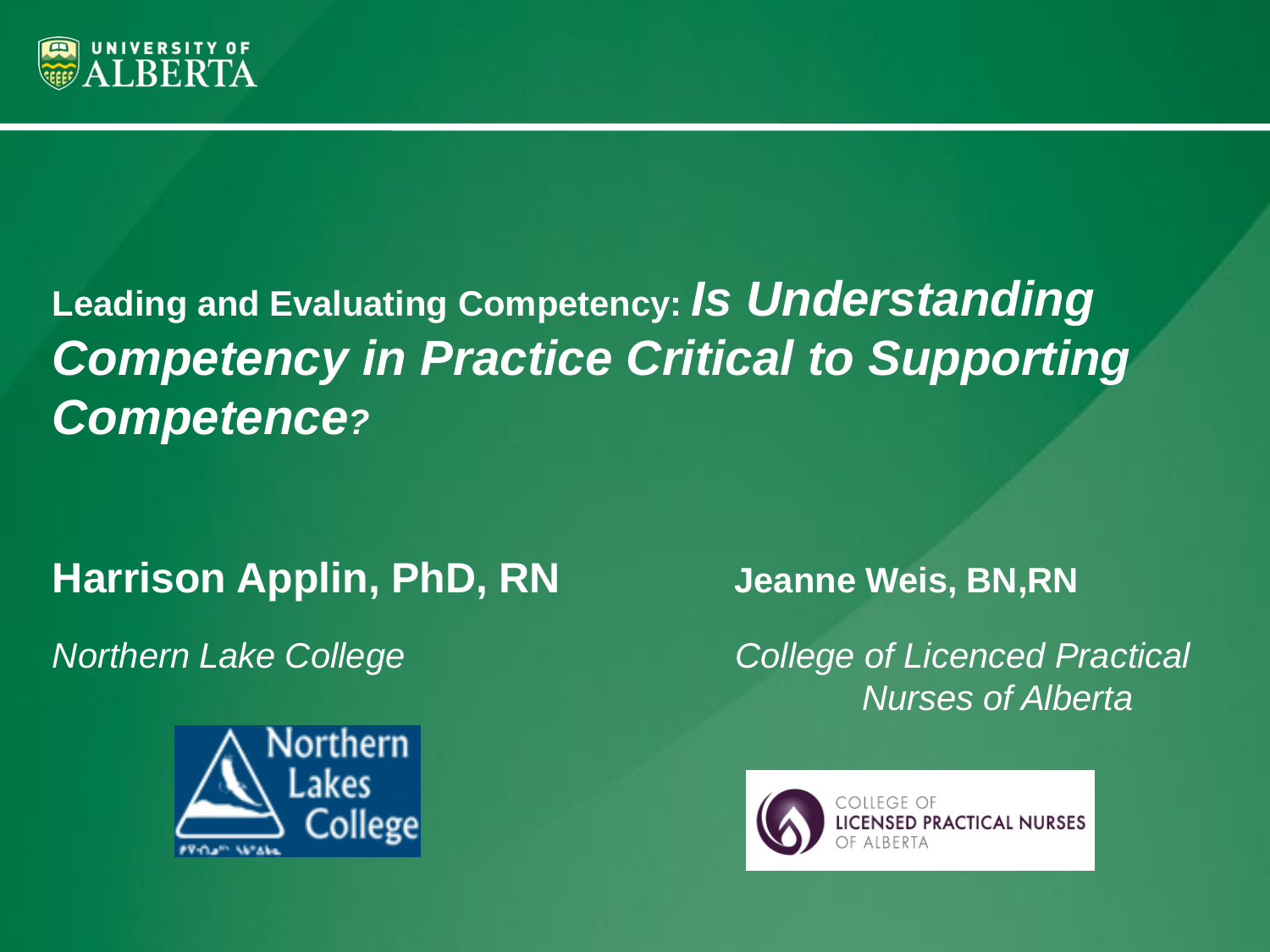

# **Leading and Evaluating Competency:** *Is Understanding Competency in Practice Critical to Supporting Competence?*

### **Harrison Applin, PhD, RN Jeanne Weis, BN,RN**



*Northern Lake College**College of Licenced Practical Nurses of Alberta*

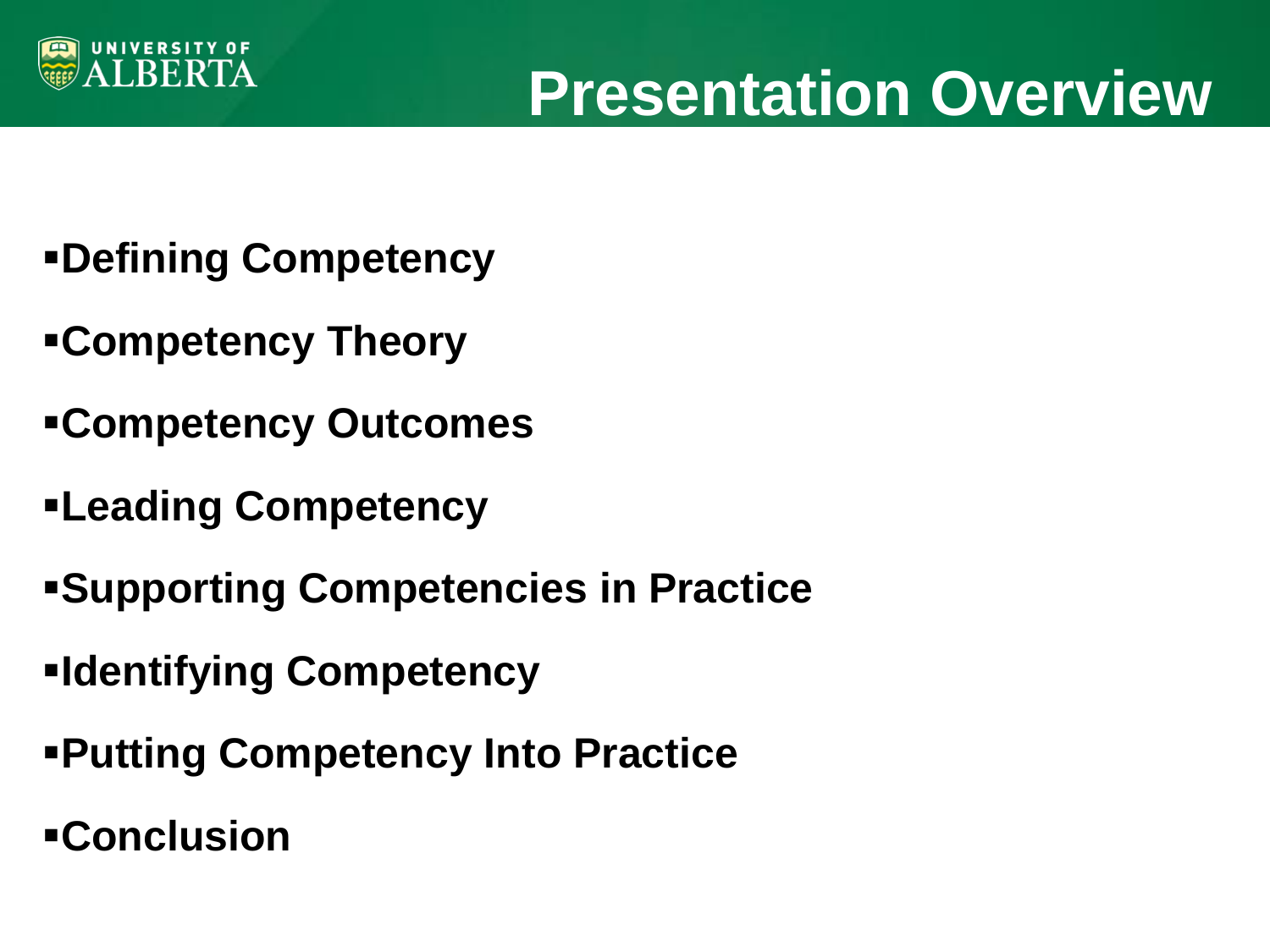

- **Defining Competency**
- **Competency Theory**
- **Competency Outcomes**
- **Leading Competency**
- **Supporting Competencies in Practice**
- **Identifying Competency**
- **Putting Competency Into Practice**
- **Conclusion**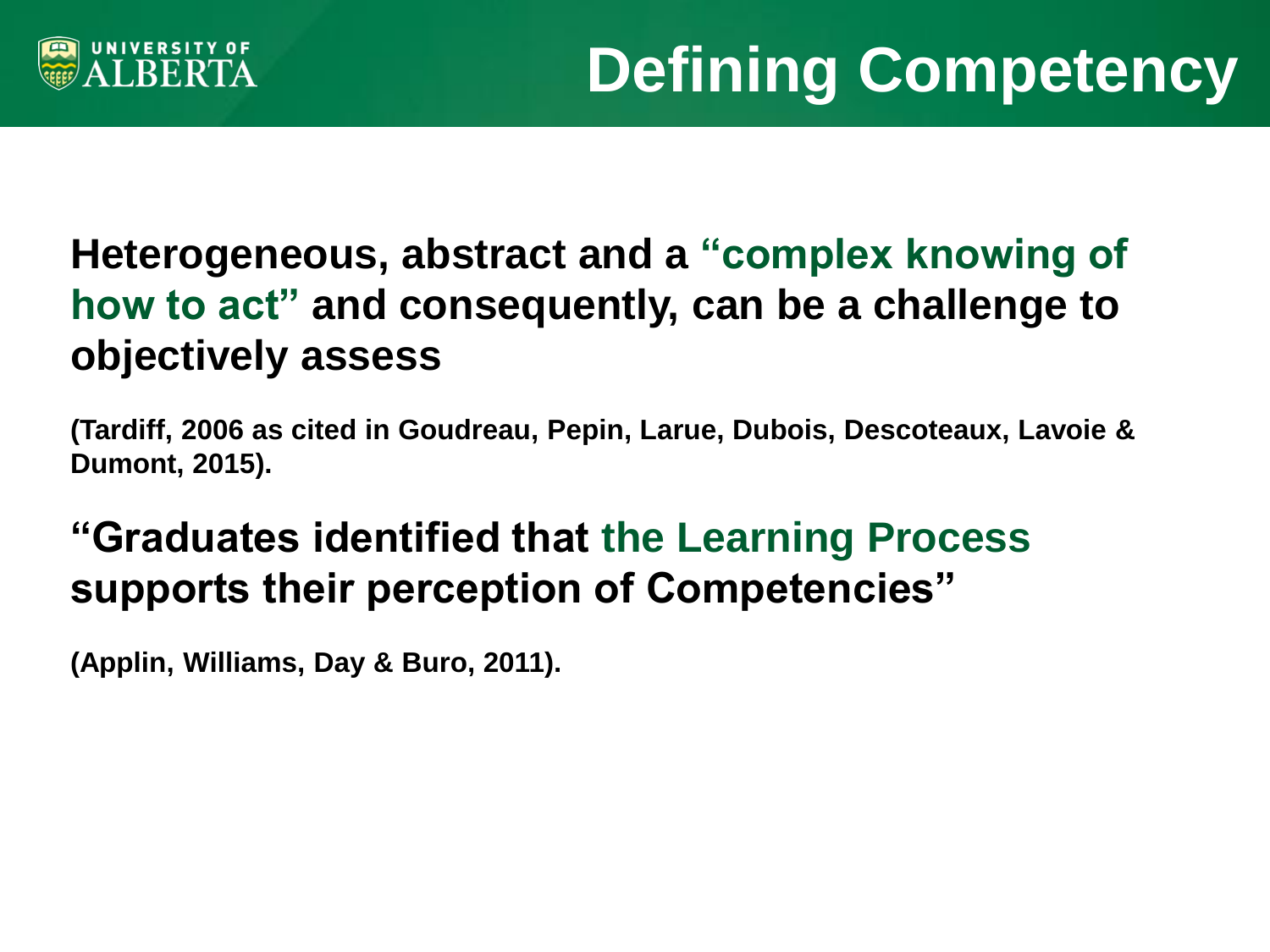

## **Heterogeneous, abstract and a "complex knowing of how to act" and consequently, can be a challenge to objectively assess**

**(Tardiff, 2006 as cited in Goudreau, Pepin, Larue, Dubois, Descoteaux, Lavoie & Dumont, 2015).** 

## **"Graduates identified that the Learning Process supports their perception of Competencies"**

**(Applin, Williams, Day & Buro, 2011).**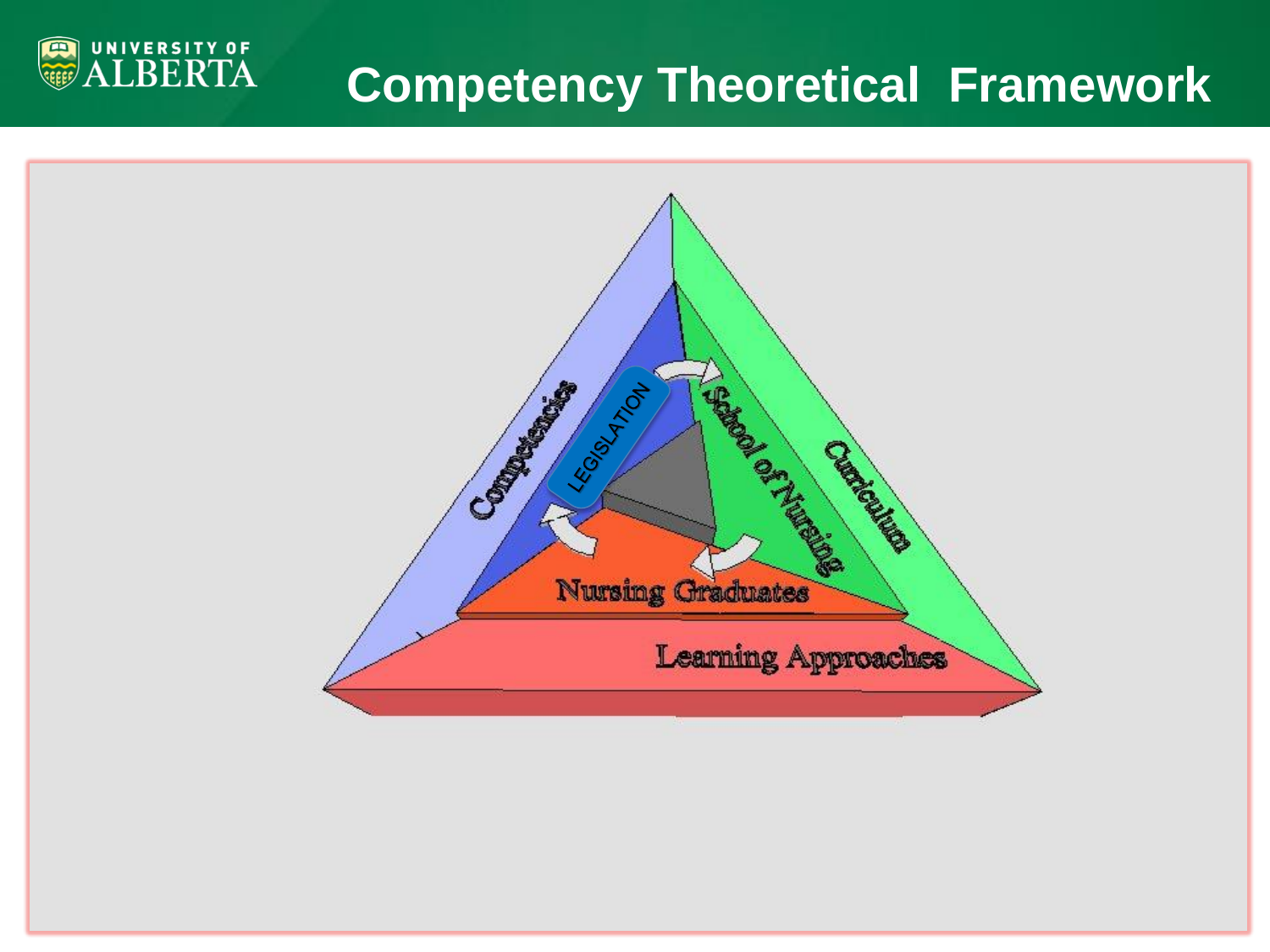# **Competency Theoretical Framework**



UNIVERSITY OF<br>ALBERTA

画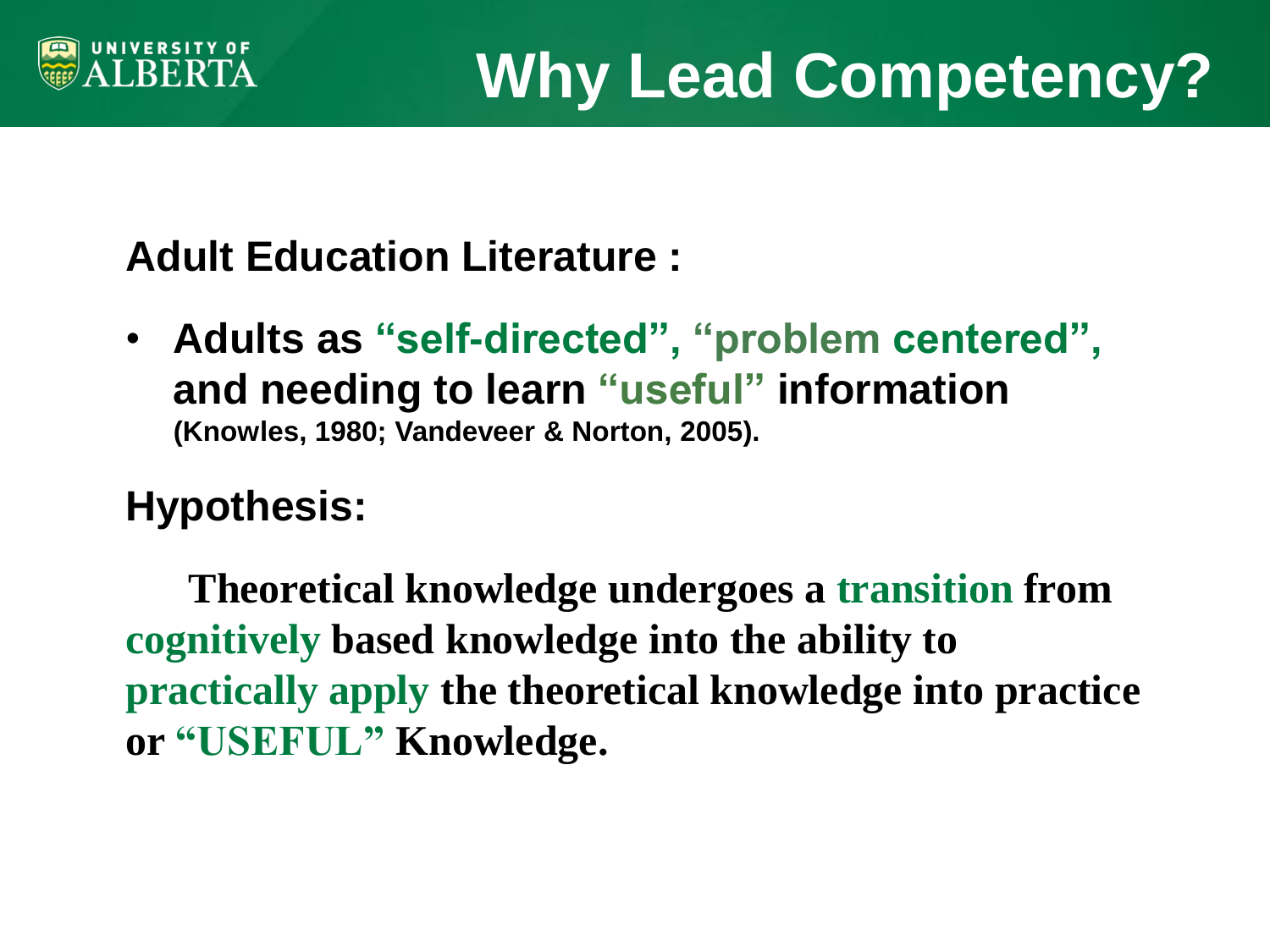

## **Adult Education Literature :**

• **Adults as "self-directed", "problem centered", and needing to learn "useful" information (Knowles, 1980; Vandeveer & Norton, 2005).**

## **Hypothesis:**

 **Theoretical knowledge undergoes a transition from cognitively based knowledge into the ability to practically apply the theoretical knowledge into practice or "USEFUL" Knowledge.**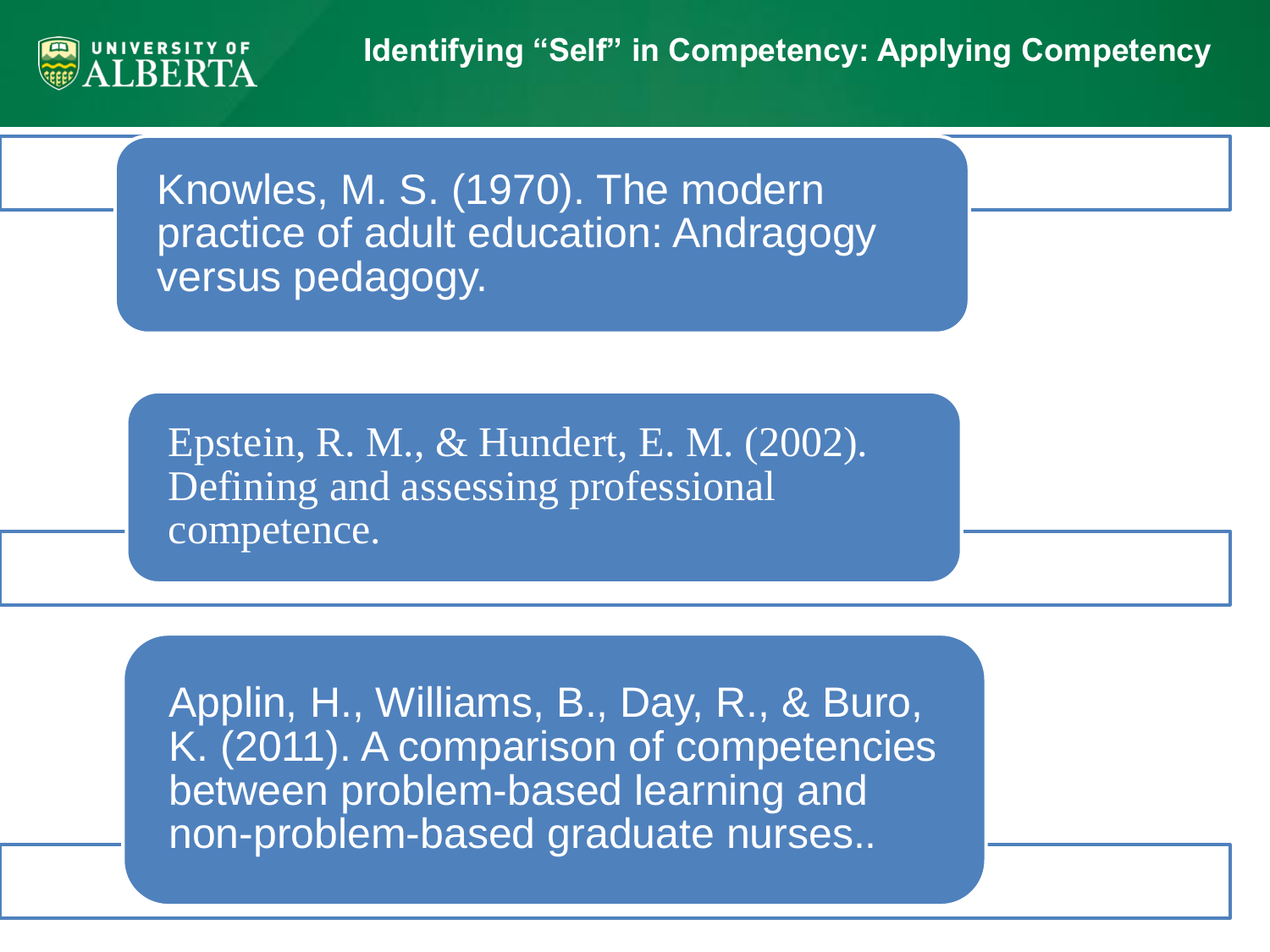

Knowles, M. S. (1970). The modern practice of adult education: Andragogy versus pedagogy.

Epstein, R. M., & Hundert, E. M. (2002). Defining and assessing professional competence.

Applin, H., Williams, B., Day, R., & Buro, K. (2011). A comparison of competencies between problem-based learning and non-problem-based graduate nurses..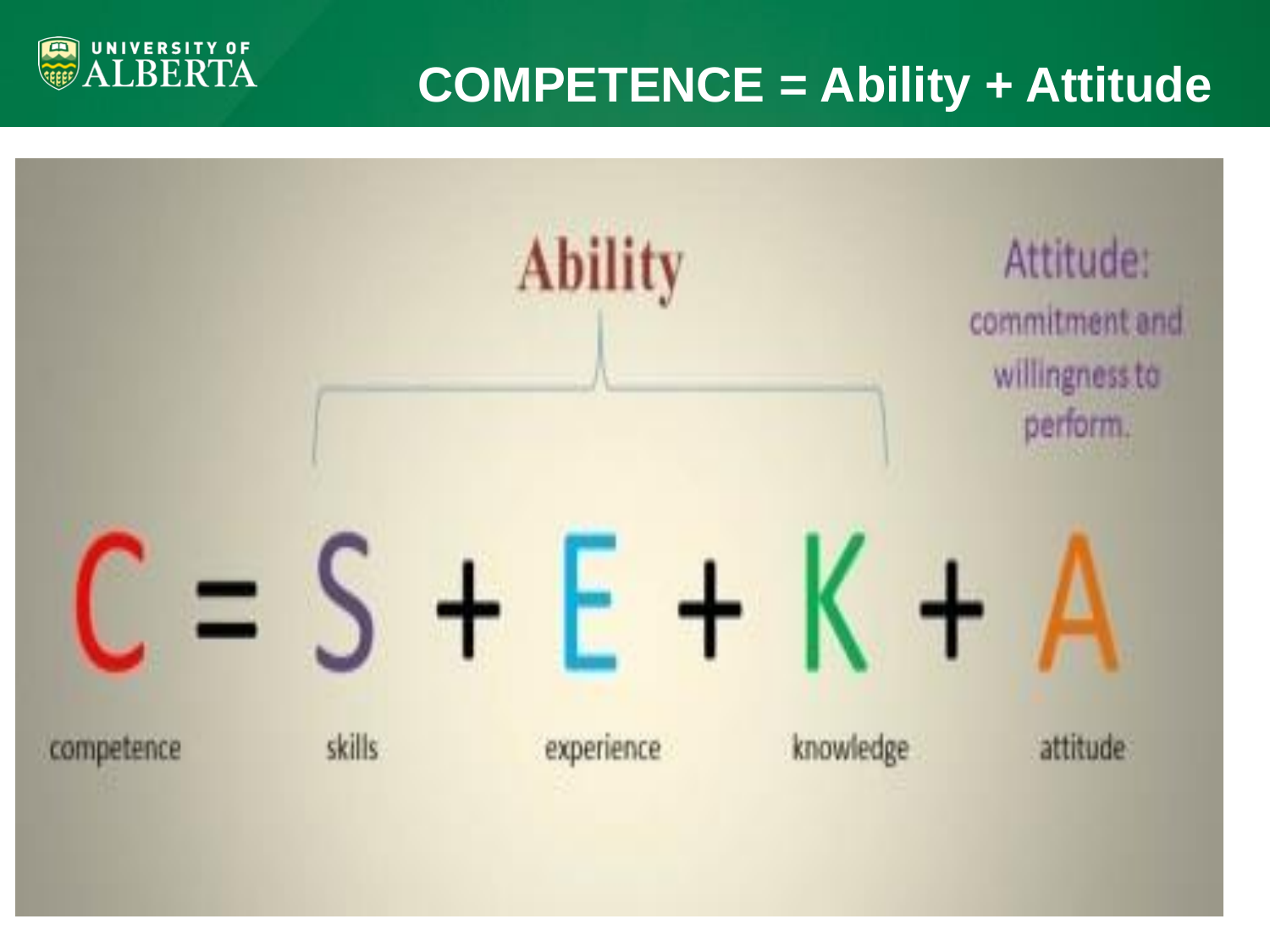

# **COMPETENCE = Ability + Attitude**

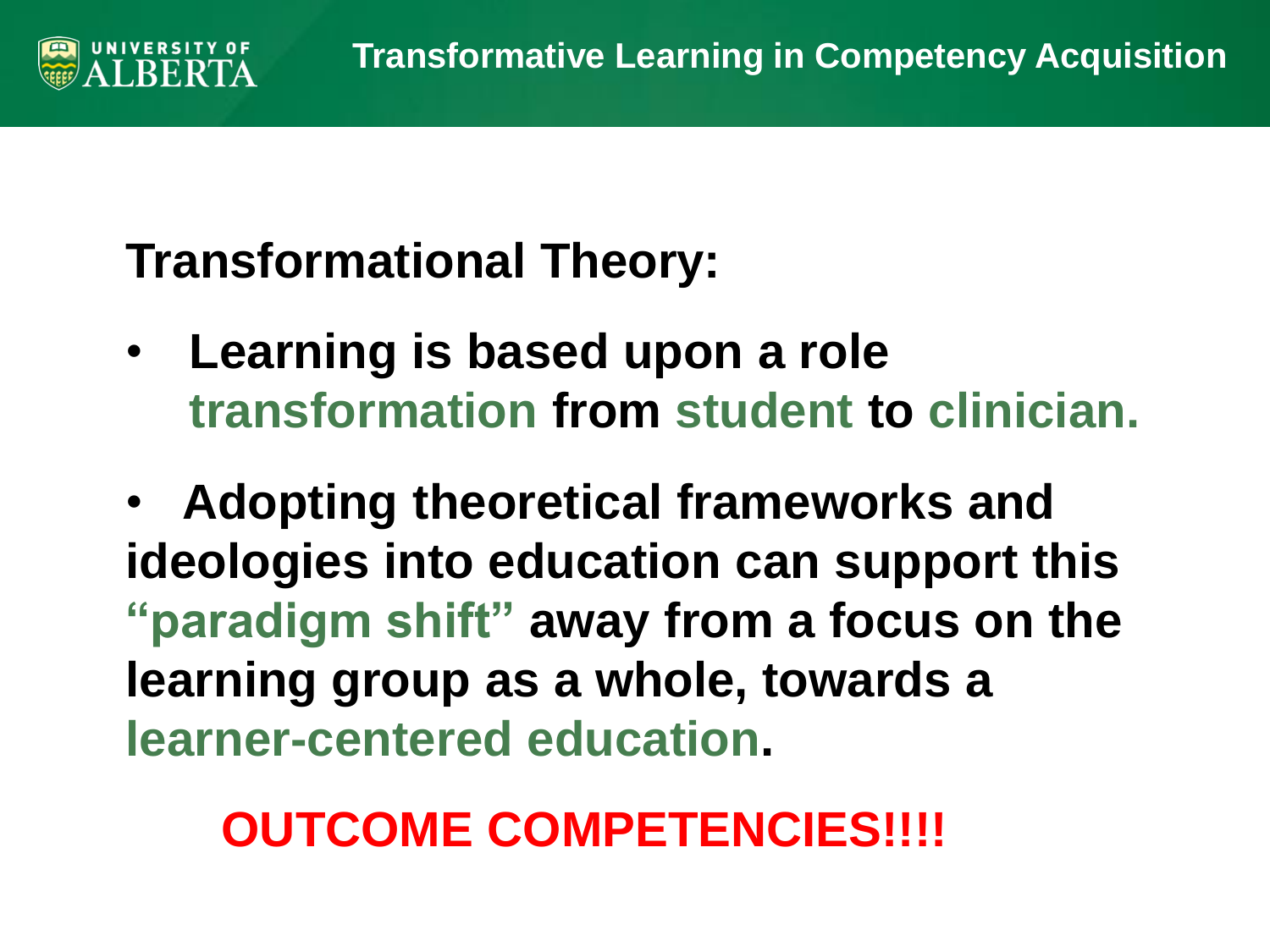# **Transformational Theory:**

• **Learning is based upon a role transformation from student to clinician.** 

• **Adopting theoretical frameworks and ideologies into education can support this "paradigm shift" away from a focus on the learning group as a whole, towards a learner-centered education.** 

# **OUTCOME COMPETENCIES!!!!**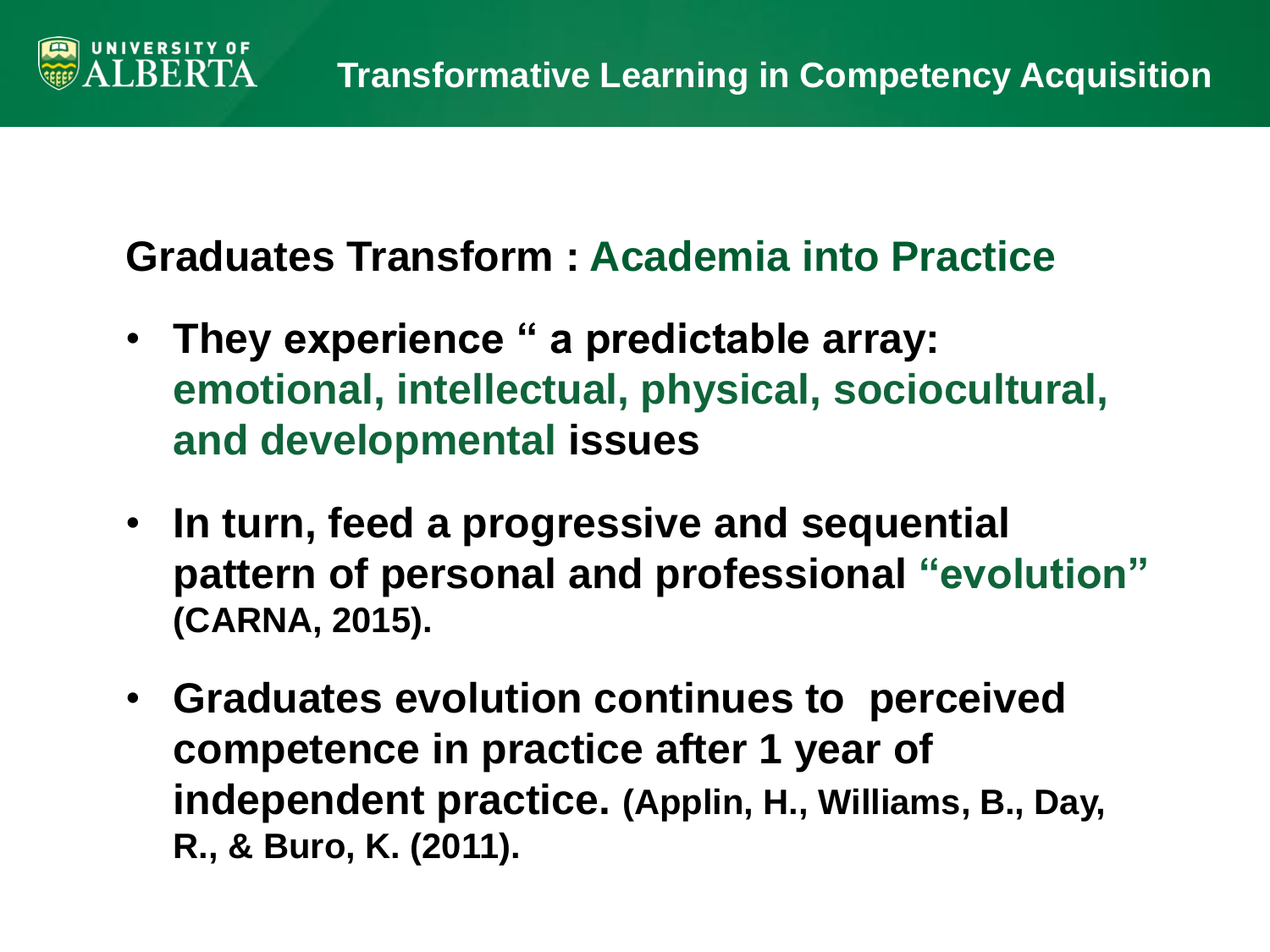**Graduates Transform : Academia into Practice** 

RER'

- **They experience " a predictable array: emotional, intellectual, physical, sociocultural, and developmental issues**
- **In turn, feed a progressive and sequential pattern of personal and professional "evolution" (CARNA, 2015).**
- **Graduates evolution continues to perceived competence in practice after 1 year of independent practice. (Applin, H., Williams, B., Day, R., & Buro, K. (2011).**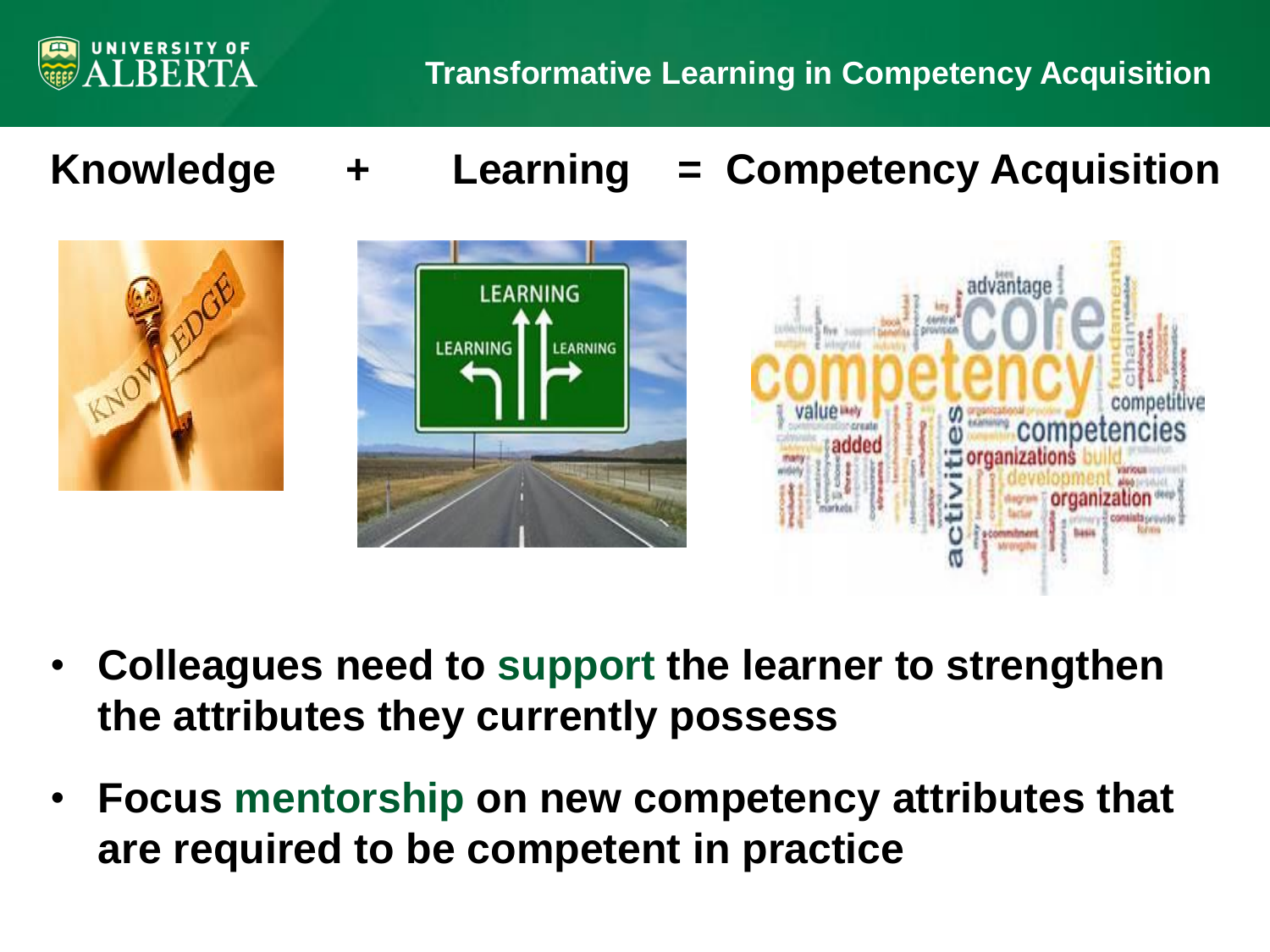

**Knowledge + Learning = Competency Acquisition**







- **Colleagues need to support the learner to strengthen the attributes they currently possess**
- **Focus mentorship on new competency attributes that are required to be competent in practice**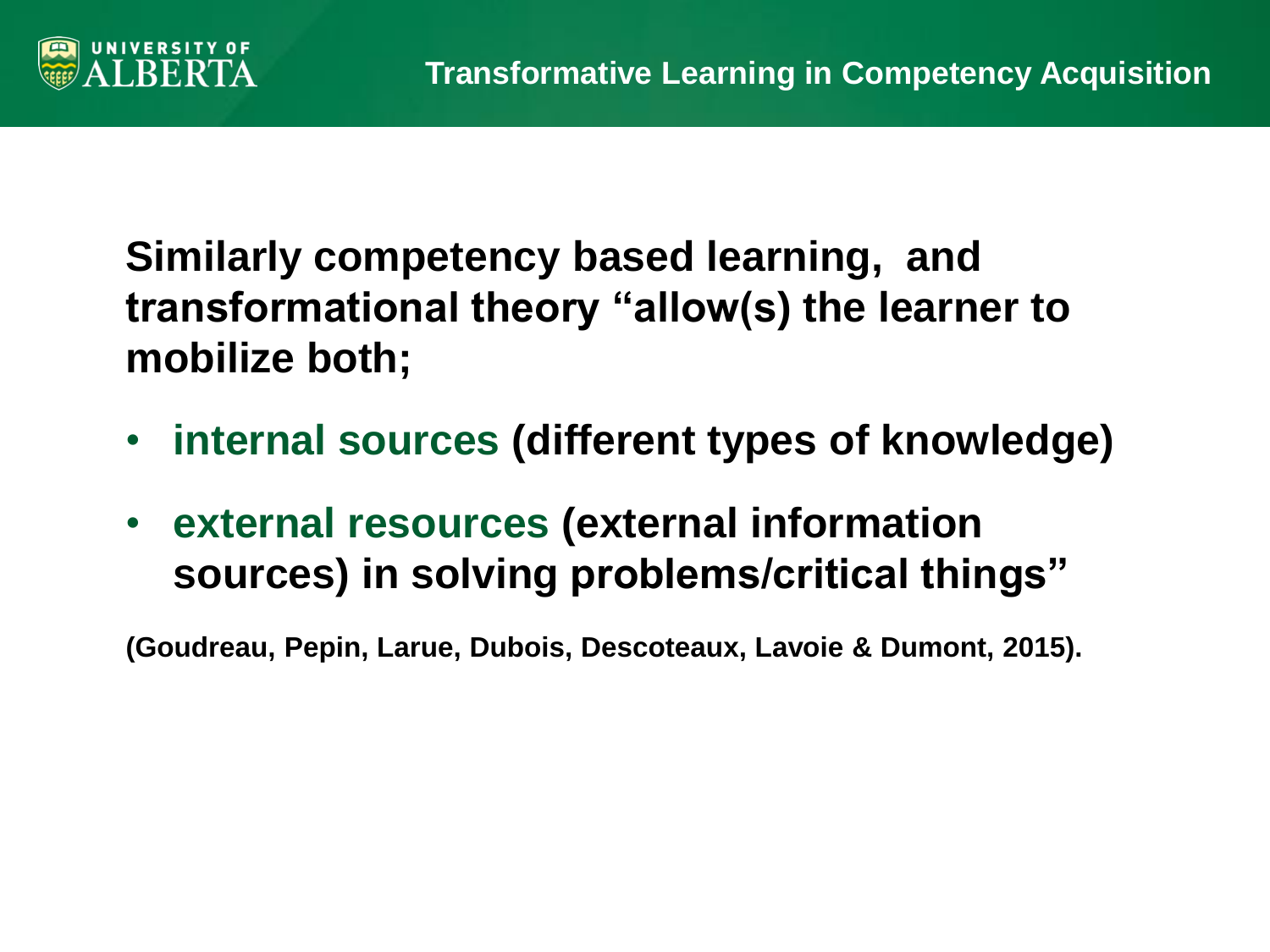

**Similarly competency based learning, and transformational theory "allow(s) the learner to mobilize both;** 

- **internal sources (different types of knowledge)**
- **external resources (external information sources) in solving problems/critical things"**

**(Goudreau, Pepin, Larue, Dubois, Descoteaux, Lavoie & Dumont, 2015).**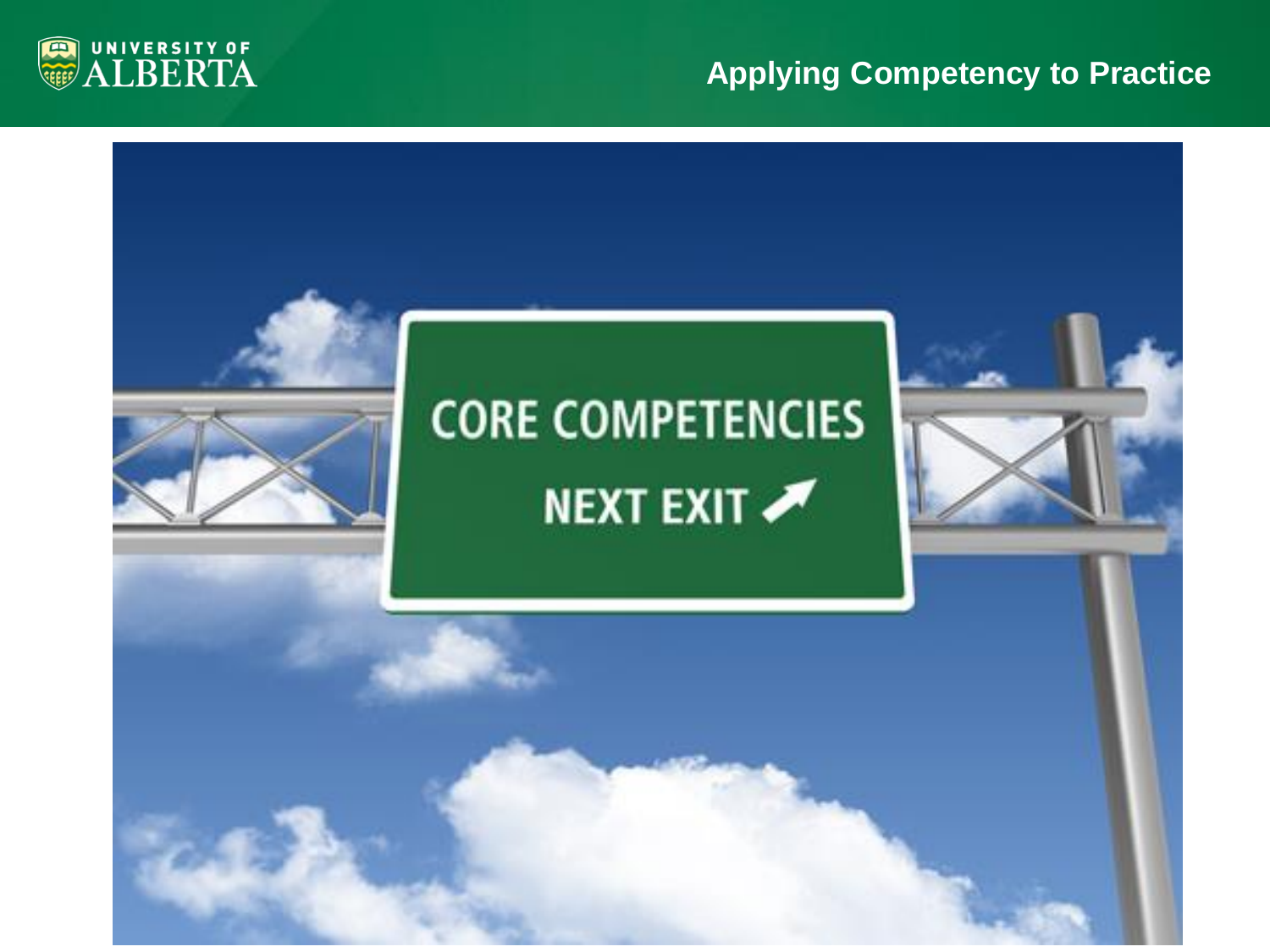#### **Applying Competency to Practice**



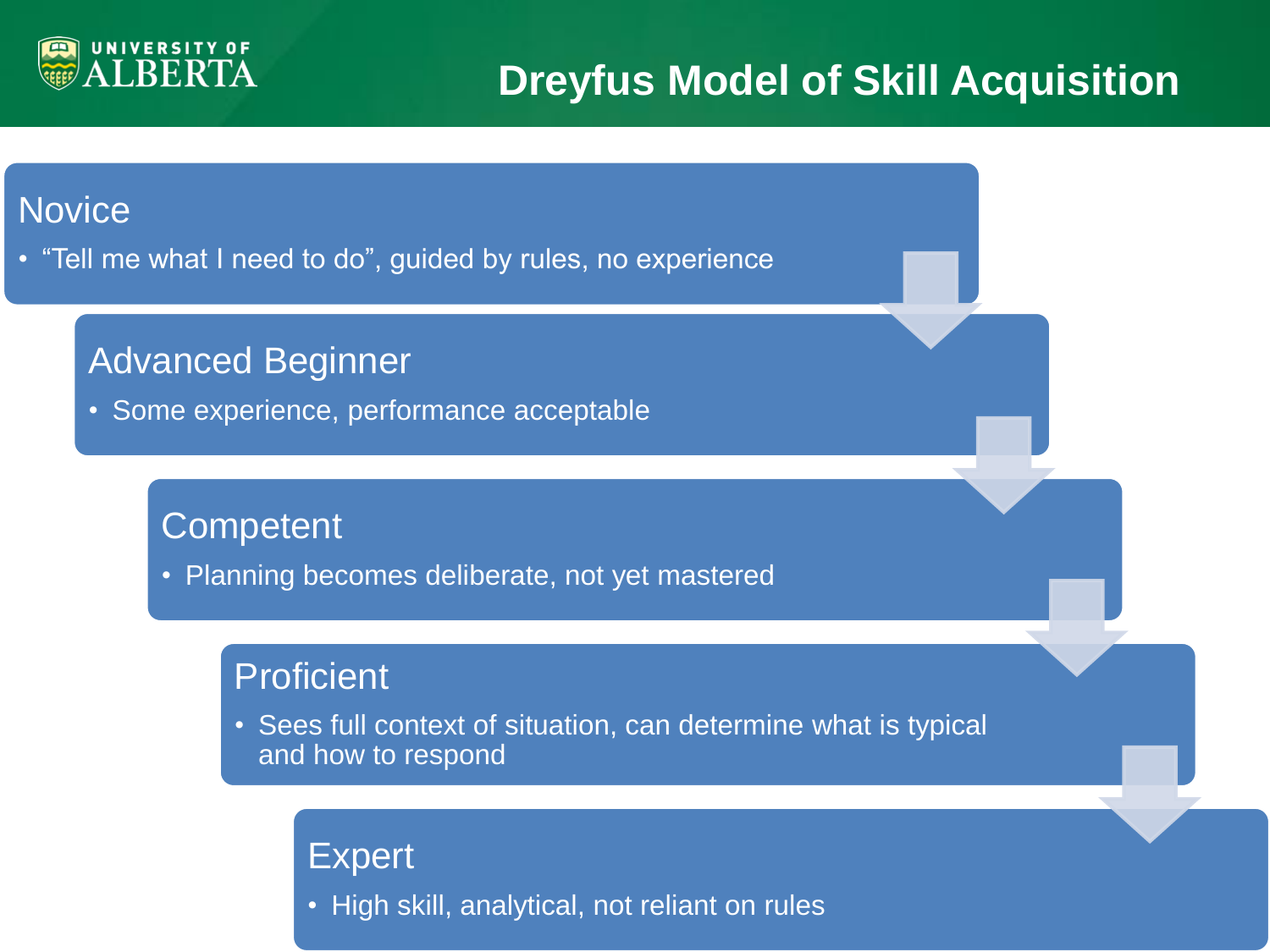

## **Dreyfus Model of Skill Acquisition**

#### **Novice**

• "Tell me what I need to do", guided by rules, no experience

#### Advanced Beginner

• Some experience, performance acceptable

#### **Competent**

• Planning becomes deliberate, not yet mastered

#### **Proficient**

• Sees full context of situation, can determine what is typical and how to respond

#### Expert

• High skill, analytical, not reliant on rules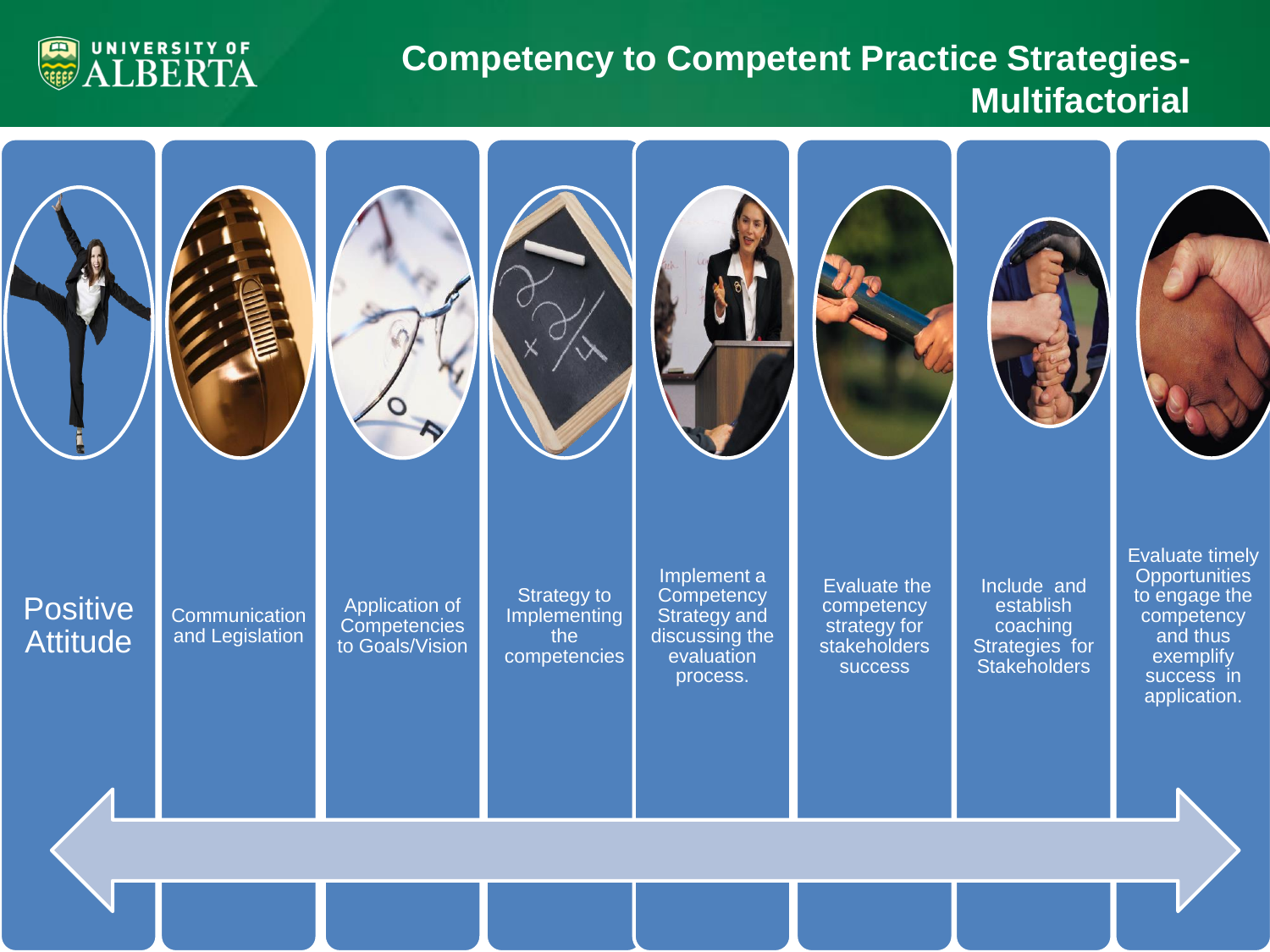

#### **Competency to Competent Practice Strategies-Multifactorial**

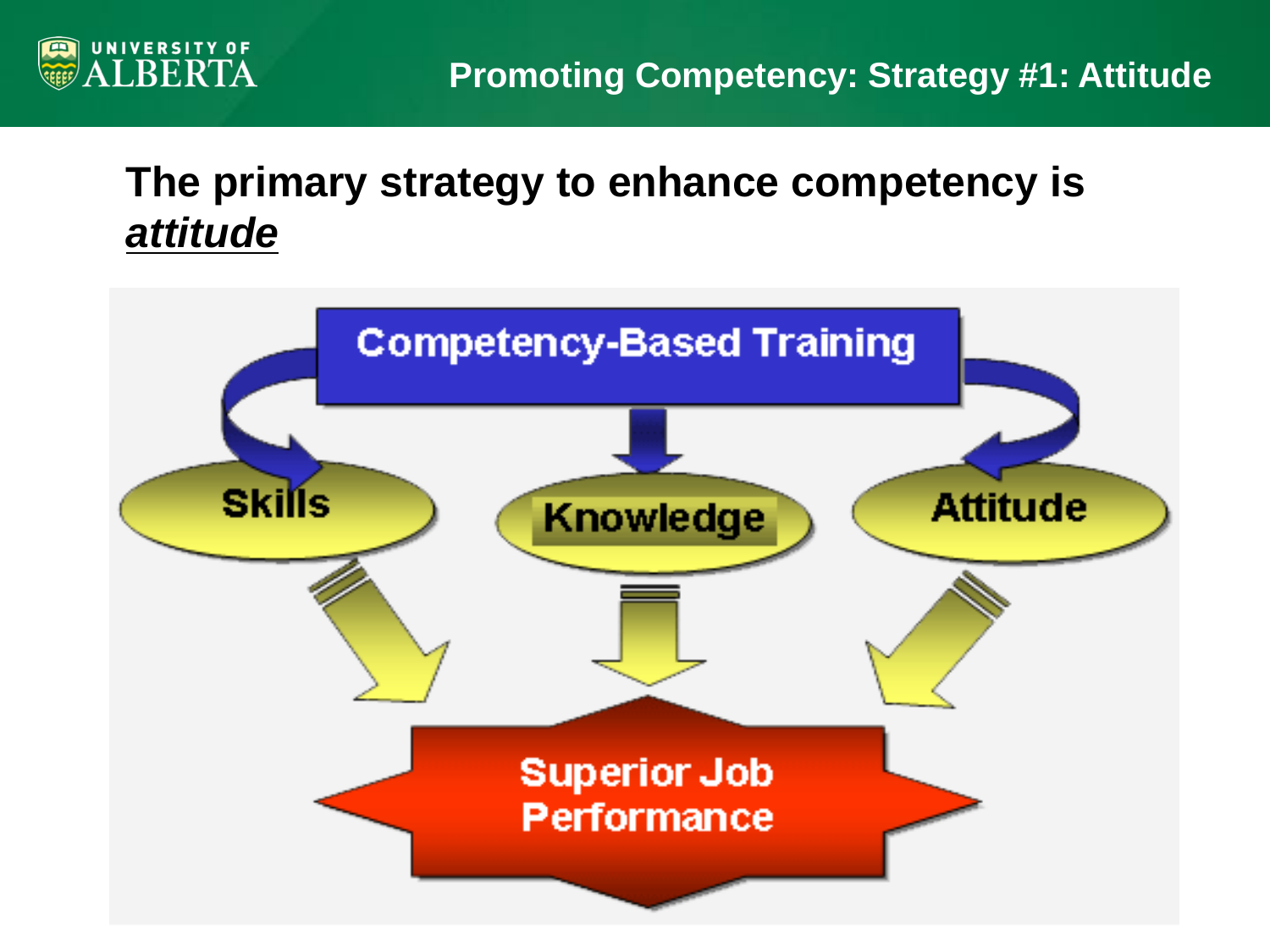

### **The primary strategy to enhance competency is**  *attitude*

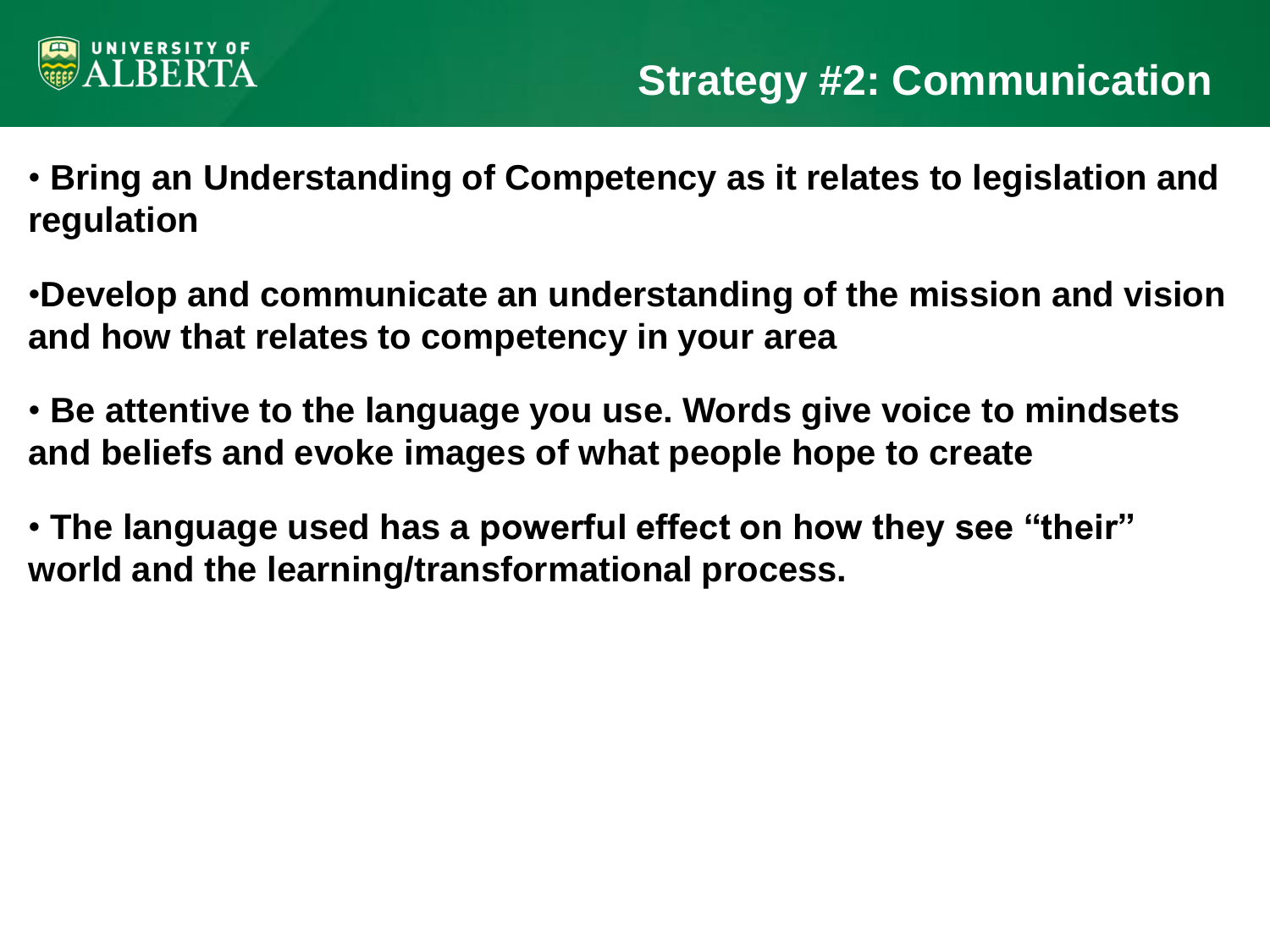

- **Bring an Understanding of Competency as it relates to legislation and regulation**
- •**Develop and communicate an understanding of the mission and vision and how that relates to competency in your area**
- **Be attentive to the language you use. Words give voice to mindsets and beliefs and evoke images of what people hope to create**
- **The language used has a powerful effect on how they see "their" world and the learning/transformational process.**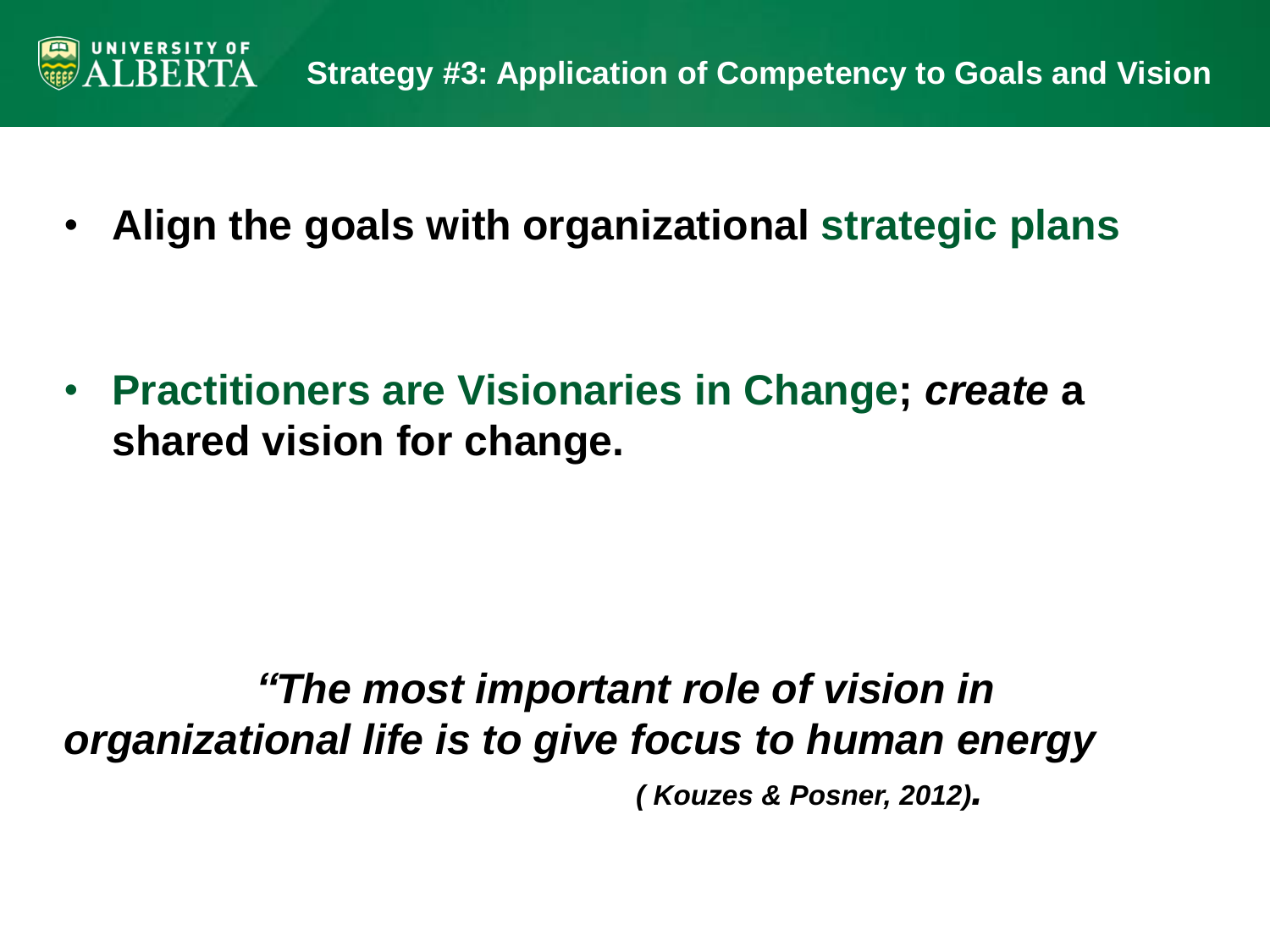

• **Align the goals with organizational strategic plans**

• **Practitioners are Visionaries in Change;** *create* **a shared vision for change.** 

# *"The most important role of vision in organizational life is to give focus to human energy*

*( Kouzes & Posner, 2012).*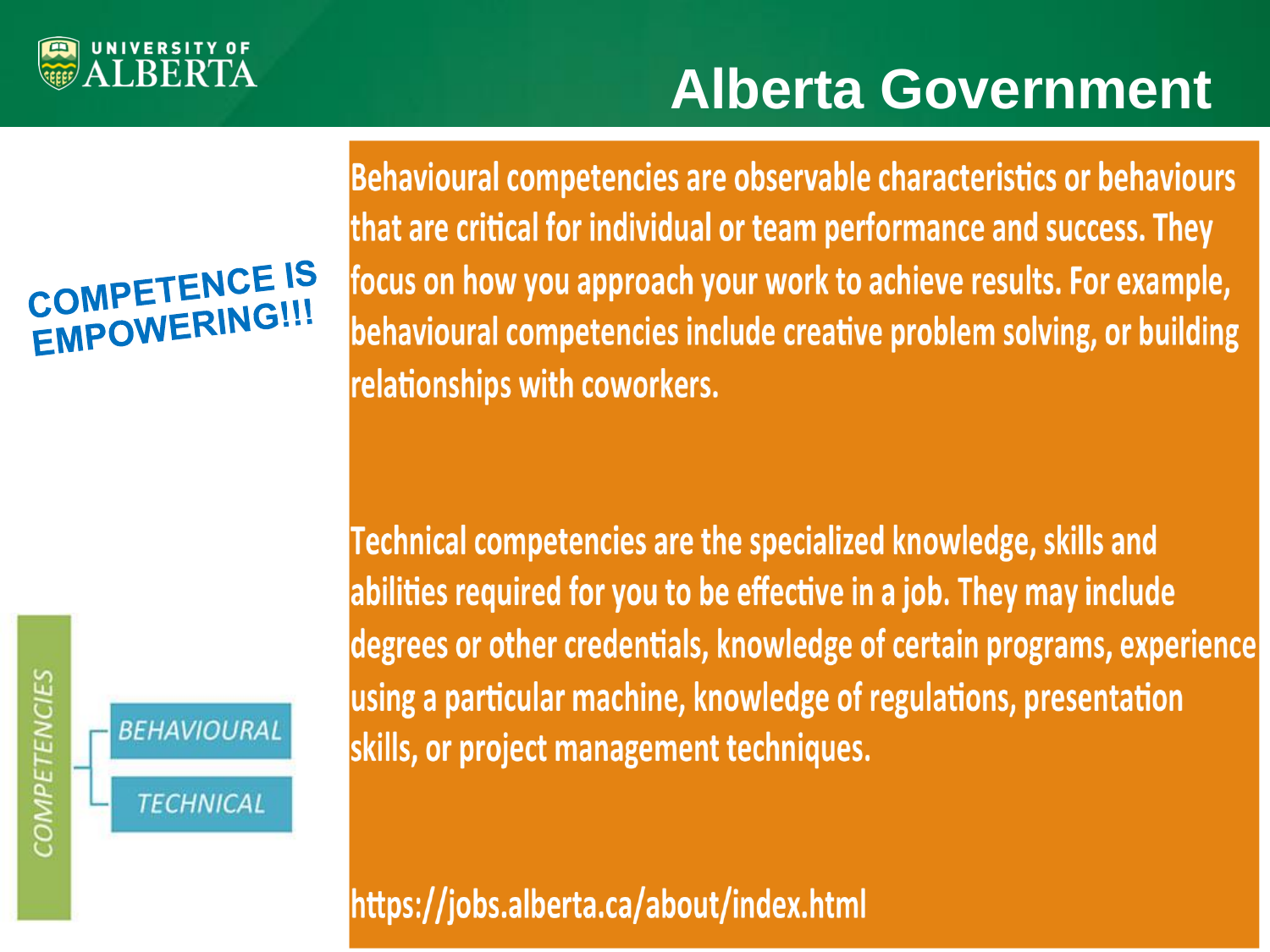

# **Alberta Government**

# COMPETENCE IS **INPETERING!!!**



**COMPETENCIES** 

Behavioural competencies are observable characteristics or behaviours that are critical for individual or team performance and success. They focus on how you approach your work to achieve results. For example, behavioural competencies include creative problem solving, or building relationships with coworkers.

Technical competencies are the specialized knowledge, skills and abilities required for you to be effective in a job. They may include degrees or other credentials, knowledge of certain programs, experience using a particular machine, knowledge of regulations, presentation skills, or project management techniques.

https://jobs.alberta.ca/about/index.html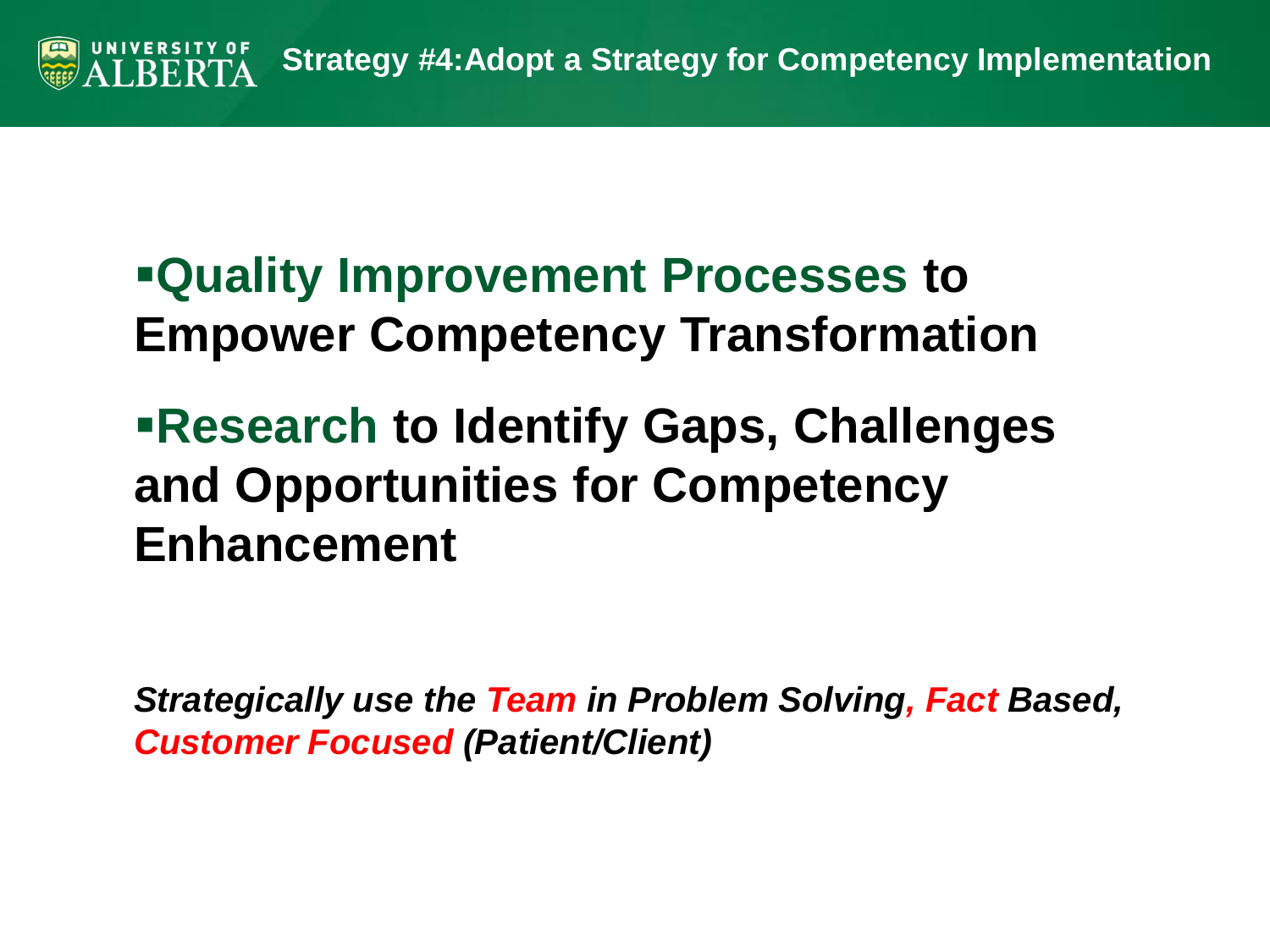

**Quality Improvement Processes to Empower Competency Transformation**

# **Research to Identify Gaps, Challenges and Opportunities for Competency Enhancement**

*Strategically use the Team in Problem Solving, Fact Based, Customer Focused (Patient/Client)*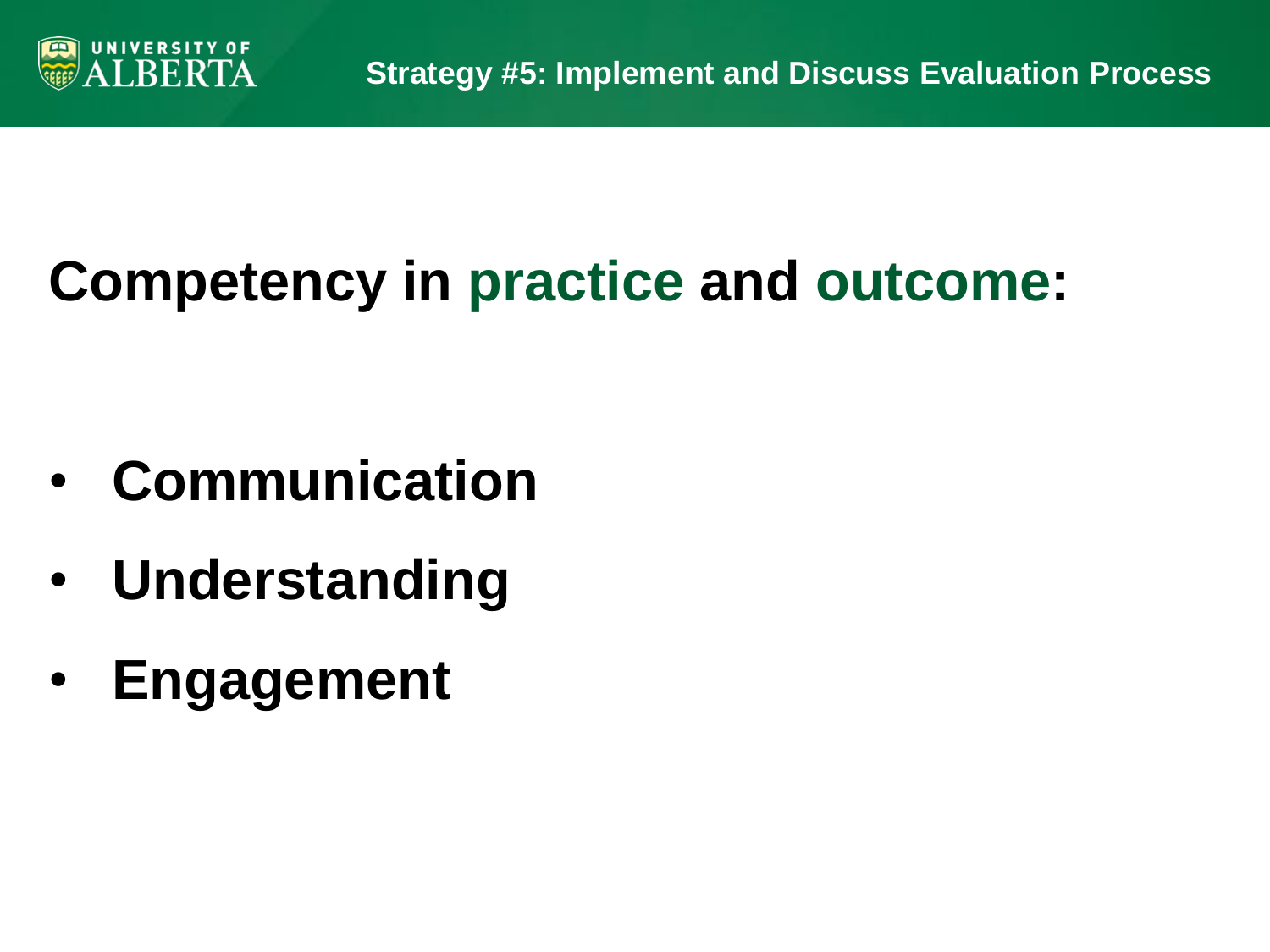

# **Competency in practice and outcome:**

- **Communication**
- **Understanding**
- **Engagement**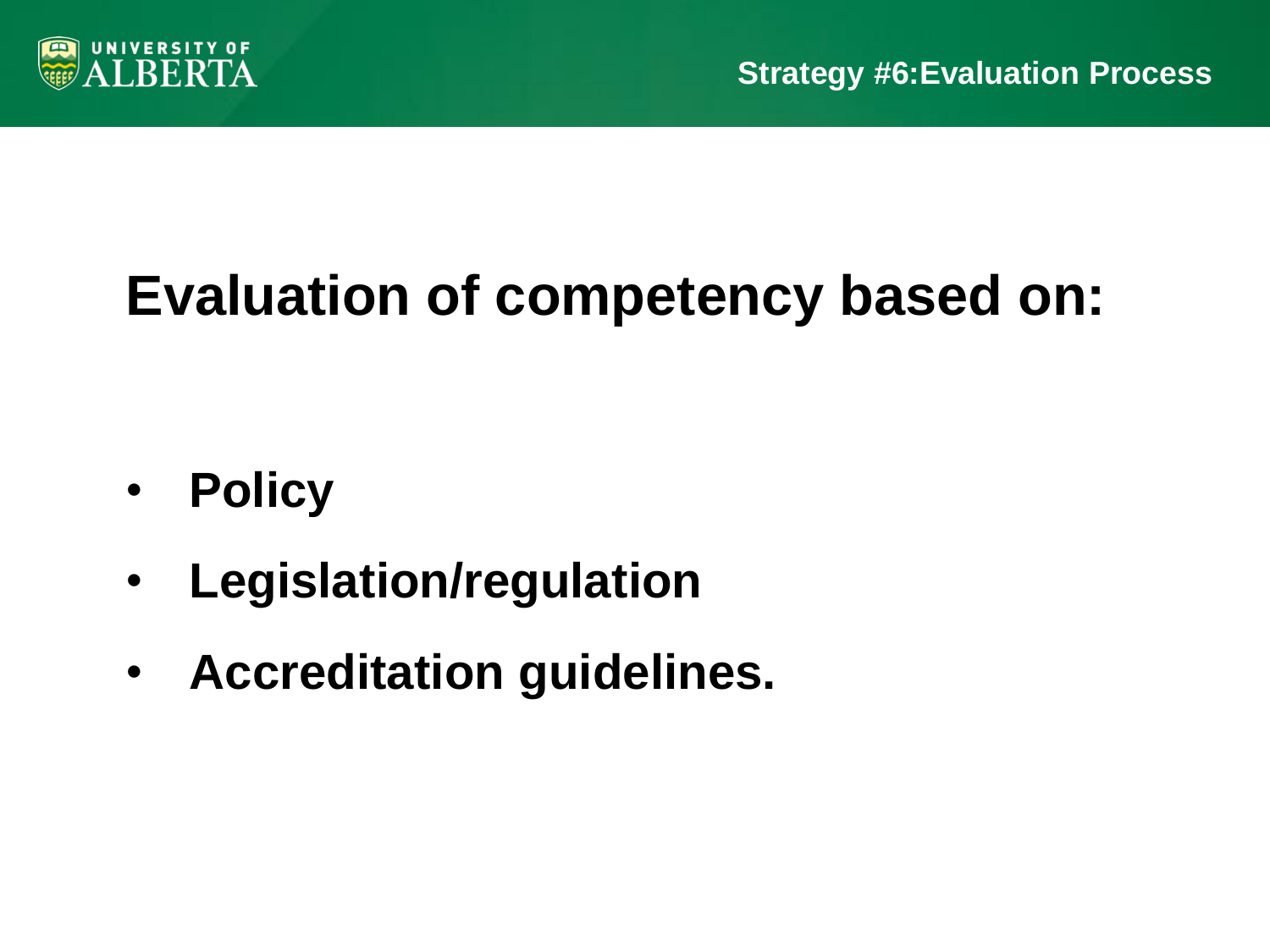

# **Evaluation of competency based on:**

- **Policy**
- **Legislation/regulation**
- **Accreditation guidelines.**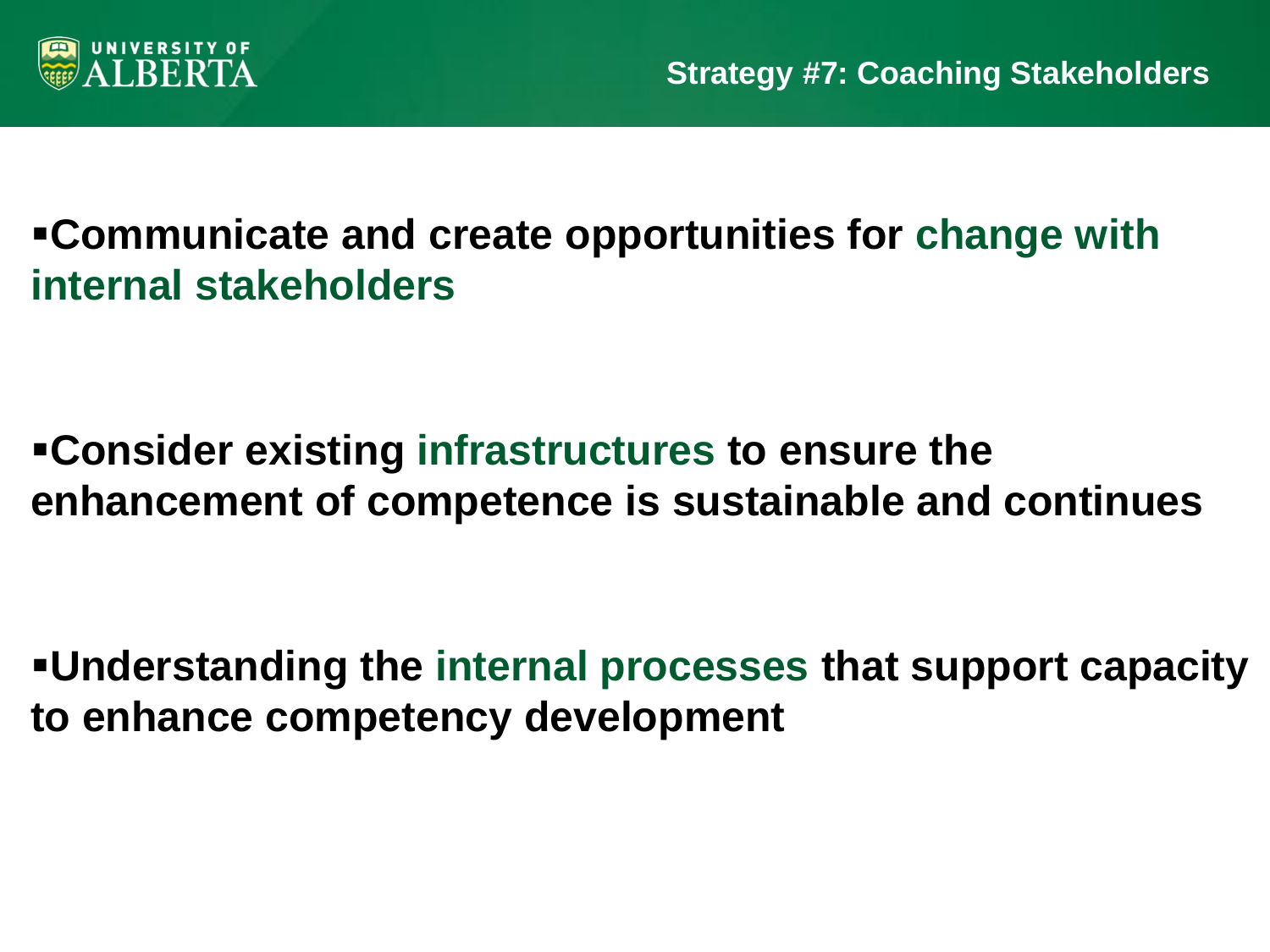

## **Communicate and create opportunities for change with internal stakeholders**

### **Consider existing infrastructures to ensure the enhancement of competence is sustainable and continues**

**Understanding the internal processes that support capacity to enhance competency development**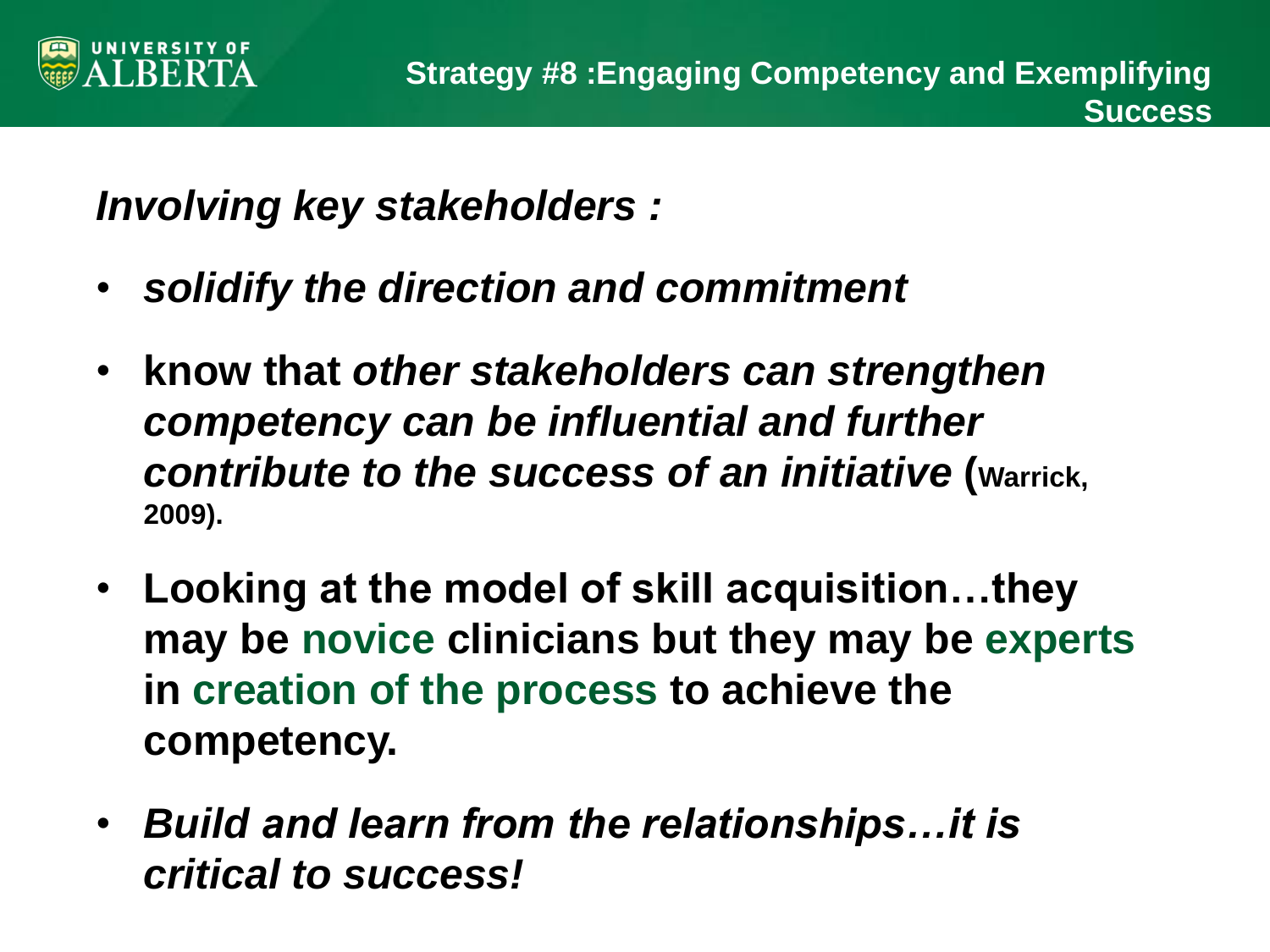

*Involving key stakeholders :*

- *solidify the direction and commitment*
- **know that** *other stakeholders can strengthen competency can be influential and further contribute to the success of an initiative* **(Warrick, 2009).**
- **Looking at the model of skill acquisition…they may be novice clinicians but they may be experts in creation of the process to achieve the competency.**
- *Build and learn from the relationships…it is critical to success!*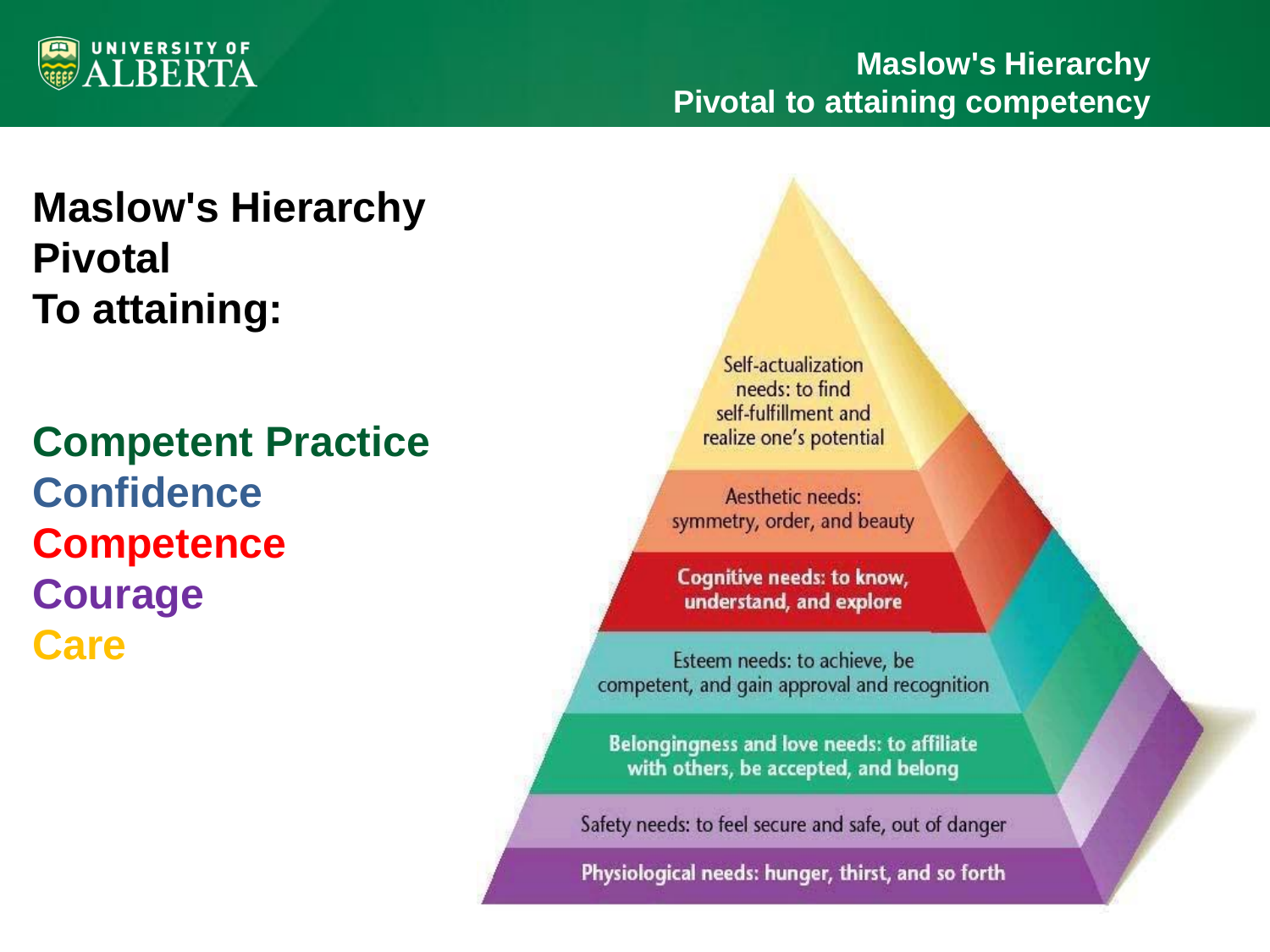

## **Maslow's Hierarchy Pivotal To attaining:**

**Competent Practice Confidence Competence Courage Care**

Self-actualization needs: to find self-fulfillment and realize one's potential

Aesthetic needs: symmetry, order, and beauty

**Cognitive needs: to know,** understand, and explore

Esteem needs: to achieve, be competent, and gain approval and recognition

Belongingness and love needs: to affiliate with others, be accepted, and belong

Safety needs: to feel secure and safe, out of danger

Physiological needs: hunger, thirst, and so forth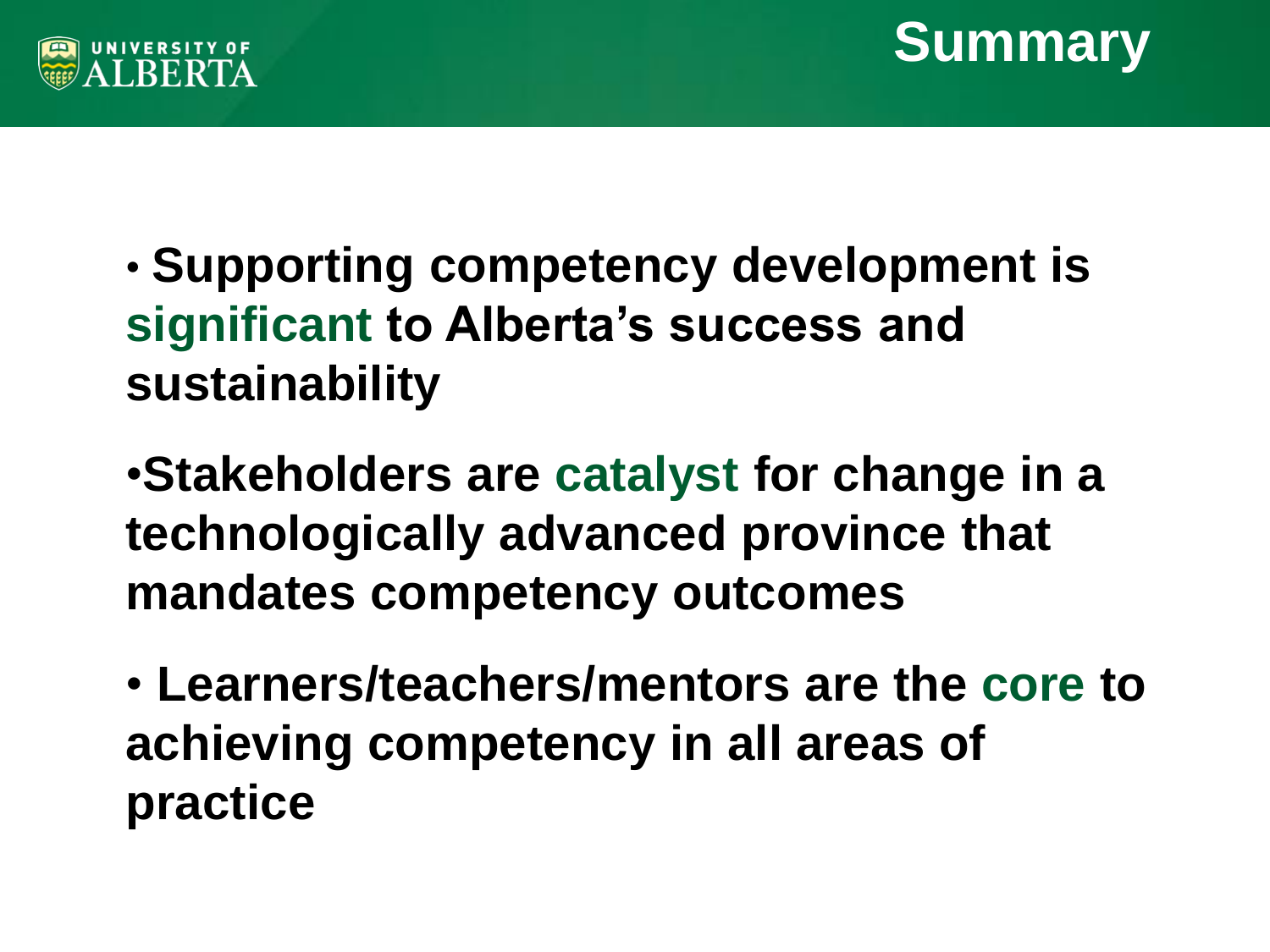



- **Supporting competency development is significant to Alberta's success and sustainability**
- •**Stakeholders are catalyst for change in a technologically advanced province that mandates competency outcomes**
- **Learners/teachers/mentors are the core to achieving competency in all areas of practice**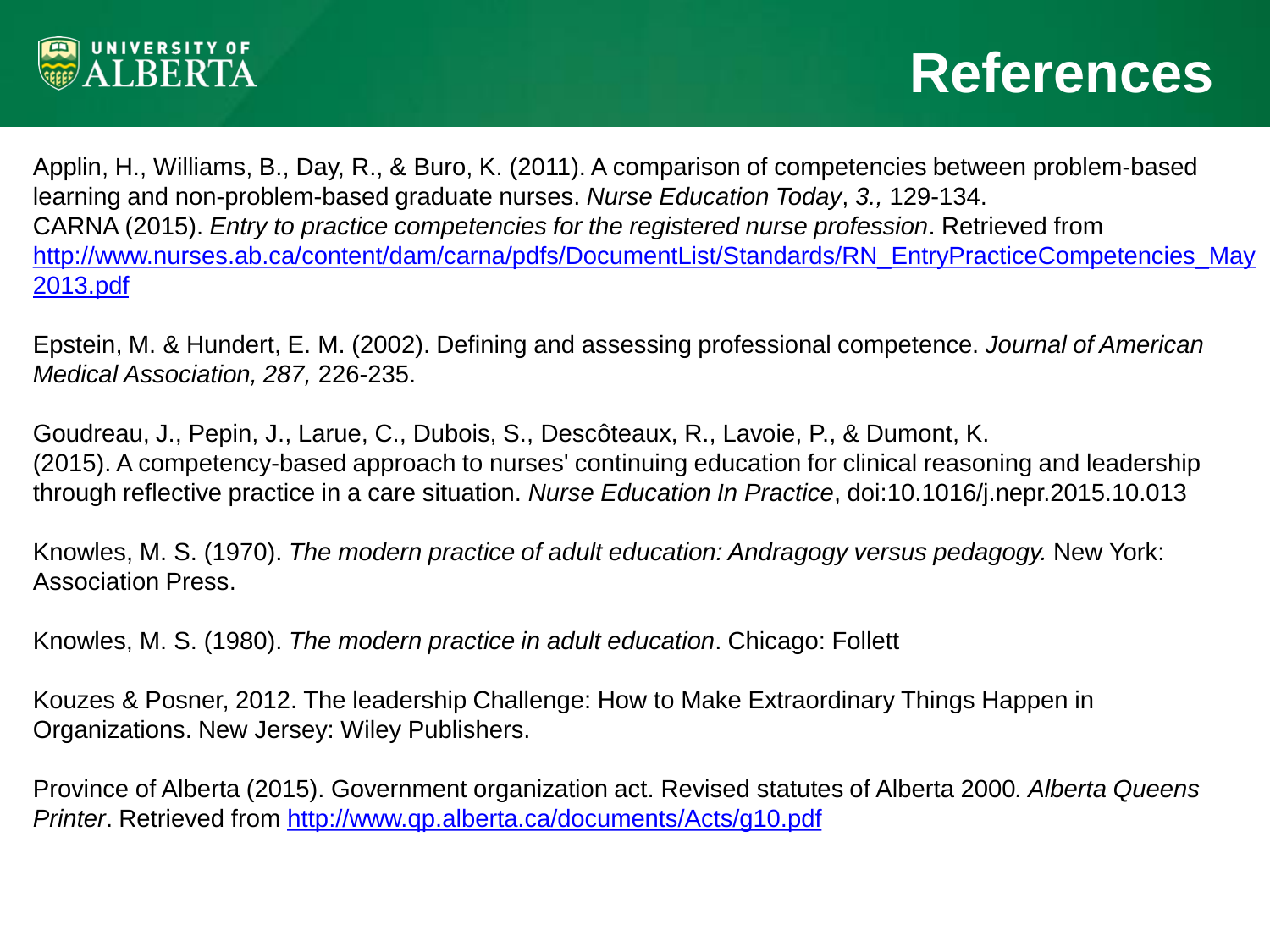

Applin, H., Williams, B., Day, R., & Buro, K. (2011). A comparison of competencies between problem-based learning and non-problem-based graduate nurses. *Nurse Education Today*, *3.,* 129-134. CARNA (2015). *Entry to practice competencies for the registered nurse profession*. Retrieved from [http://www.nurses.ab.ca/content/dam/carna/pdfs/DocumentList/Standards/RN\\_EntryPracticeCompetencies\\_May](http://www.nurses.ab.ca/content/dam/carna/pdfs/DocumentList/Standards/RN_EntryPracticeCompetencies_May2013.pdf) [2013.pdf](http://www.nurses.ab.ca/content/dam/carna/pdfs/DocumentList/Standards/RN_EntryPracticeCompetencies_May2013.pdf)

Epstein, M. & Hundert, E. M. (2002). Defining and assessing professional competence. *Journal of American Medical Association, 287,* 226-235.

Goudreau, J., Pepin, J., Larue, C., Dubois, S., Descôteaux, R., Lavoie, P., & Dumont, K. (2015). A competency-based approach to nurses' continuing education for clinical reasoning and leadership through reflective practice in a care situation. *Nurse Education In Practice*, doi:10.1016/j.nepr.2015.10.013

Knowles, M. S. (1970). *The modern practice of adult education: Andragogy versus pedagogy.* New York: Association Press.

Knowles, M. S. (1980). *The modern practice in adult education*. Chicago: Follett

Kouzes & Posner, 2012. The leadership Challenge: How to Make Extraordinary Things Happen in Organizations. New Jersey: Wiley Publishers.

Province of Alberta (2015). Government organization act. Revised statutes of Alberta 2000*. Alberta Queens Printer*. Retrieved from <http://www.qp.alberta.ca/documents/Acts/g10.pdf>